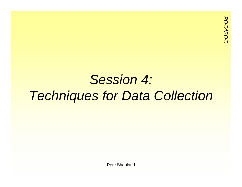#### *Session 4: Techniques for Data Collection*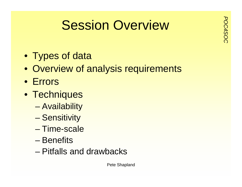# **Possion Overview**

- Types of data
- Overview of analysis requirements
- Errors
- Techniques
	- –Availability
	- **Sensitivity**
	- Time-scale
	- Benefits
	- Pitfalls and drawbacks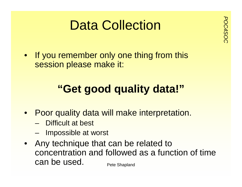## **Data Collection**<br>
Society

 $\bullet$ If you remember only one thing from this session please make it:

#### **"Get good quality data!"**

- Poor quality data will make interpretation.
	- Difficult at best
	- –Impossible at worst
- Pete Shapland • Any technique that can be related to concentration and followed as a function of time can be used.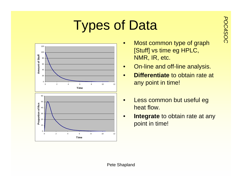# **Types of Data**



- Most common type of graph [Stuff] vs time eg HPLC, NMR, IR, etc.
- $\bullet$ On-line and off-line analysis.
- $\bullet$  **Differentiate** to obtain rate at any point in time!
- • Less common but useful eg heat flow.
- $\bullet$  **Integrate** to obtain rate at any point in time!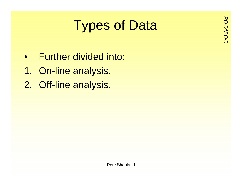# **Purished Types of Data**

- $\bullet$ Further divided into:
- 1. On-line analysis.
- 2. Off-line analysis.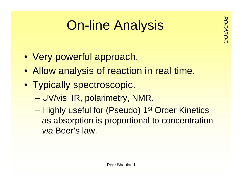## **Por-line Analysis**

- Very powerful approach.
- Allow analysis of reaction in real time.
- Typically spectroscopic.
	- –UV/vis, IR, polarimetry, NMR.
	- –Highly useful for (Pseudo) 1<sup>st</sup> Order Kinetics as absorption is proportional to concentration *via* Beer's law.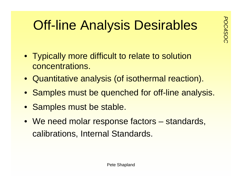## **Off-line Analysis Desirables**

- Typically more difficult to relate to solution concentrations.
- Quantitative analysis (of isothermal reaction).
- Samples must be quenched for off-line analysis.
- Samples must be stable.
- We need molar response factors standards, calibrations, Internal Standards.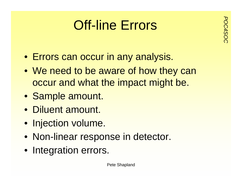## **Port-line Errors**

- Errors can occur in any analysis.
- We need to be aware of how they can occur and what the impact might be.
- Sample amount.
- Diluent amount.
- Injection volume.
- Non-linear response in detector.
- Integration errors.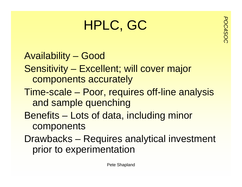## **POC<sub>5</sub>**<br>
POC<sub>5</sub><br>
POC<sub>5</sub>

Availability – Good Sensitivity – Excellent; will cover major components accurately Time-scale – Poor, requires off-line analysis and sample quenching Benefits – Lots of data, including minor components Drawbacks – Requires analytical investment prior to experimentation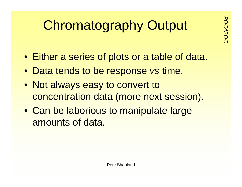# **Chromatography Output**

- Either a series of plots or a table of data.
- Data tends to be response *vs* time.
- Not always easy to convert to concentration data (more next session).
- Can be laborious to manipulate large amounts of data.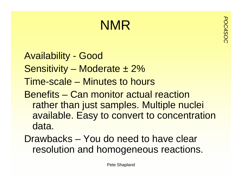# *POC4SOC* NMR

- Availability Good Sensitivity – Moderate  $\pm 2\%$
- Time-scale Minutes to hours
- Benefits Can monitor actual reaction rather than just samples. Multiple nuclei available. Easy to convert to concentration data.
- Drawbacks You do need to have clear resolution and homogeneous reactions.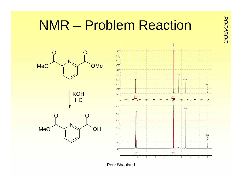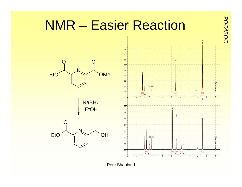

Pete Shapland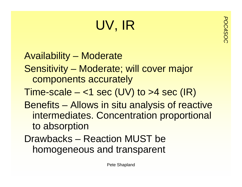## *POC4SOC* UV, IR

Availability – Moderate Sensitivity – Moderate; will cover major components accurately Time-scale  $-$  <1 sec (UV) to >4 sec (IR) Benefits – Allows in situ analysis of reactive intermediates. Concentration proportional to absorption Drawbacks – Reaction MUST be

homogeneous and transparent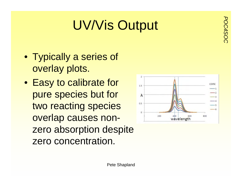## **POLY/Vis Output**

- Typically a series of overlay plots.
- Easy to calibrate for pure species but for two reacting species overlap causes nonzero absorption despite zero concentration.

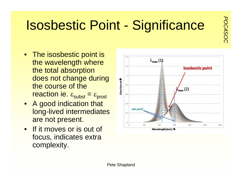# **PORAGAZISOS**<br>**POSASSISSISSISS**<br>
POINT - Significance

- The isosbestic point is the wavelength where the total absorption does not change during the course of the reaction ie.  $\varepsilon_{\textsf{subst}}$  =  $\varepsilon_{\textsf{prod}}$
- A good indication that long-lived intermediates are not present.
- If it moves or is out of focus, indicates extra complexity.

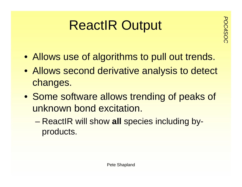# **ReactIR Output**

- Allows use of algorithms to pull out trends.
- Allows second derivative analysis to detect changes.
- Some software allows trending of peaks of unknown bond excitation.
	- ReactIR will show **all** species including byproducts.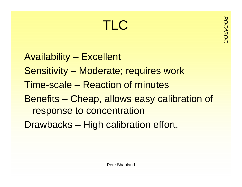# *POC4SOC* TLC

Availability – Excellent Sensitivity – Moderate; requires work Time-scale – Reaction of minutesBenefits – Cheap, allows easy calibration of response to concentration Drawbacks – High calibration effort.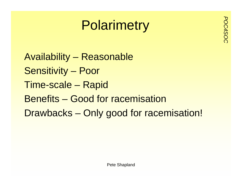# **Polarimetry**

Availability – Reasonable Sensitivity – Poor Time-scale – Rapid Benefits – Good for racemisation Drawbacks – Only good for racemisation!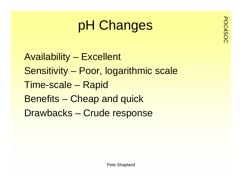# pH Changes

Availability – Excellent Sensitivity – Poor, logarithmic scale Time-scale – Rapid Benefits – Cheap and quick Drawbacks – Crude response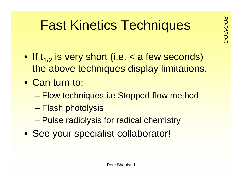# **Fast Kinetics Techniques**

- If  $t_{1/2}$  is very short (i.e. < a few seconds) the above techniques display limitations.
- Can turn to:
	- –Flow techniques i.e Stopped-flow method
	- –Flash photolysis
	- –Pulse radiolysis for radical chemistry
- See your specialist collaborator!